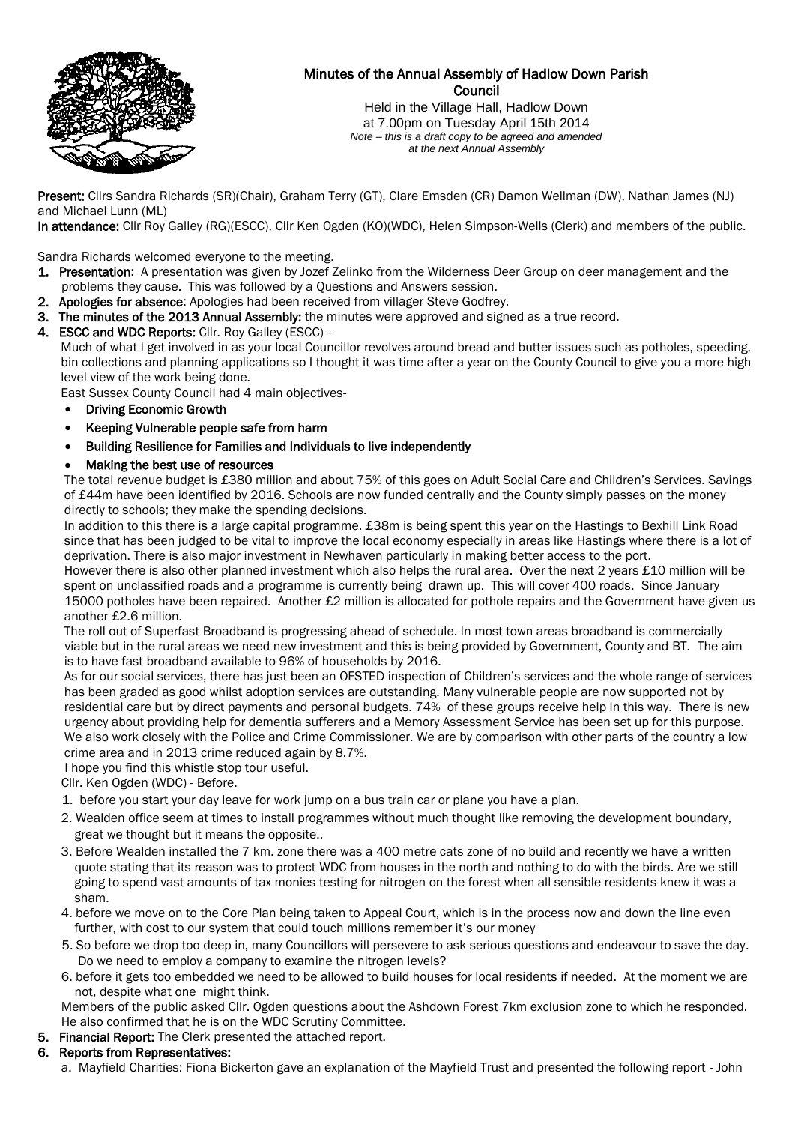

# Minutes of the Annual Assembly of Hadlow Down Parish Council

Held in the Village Hall, Hadlow Down at 7.00pm on Tuesday April 15th 2014 *Note – this is a draft copy to be agreed and amended at the next Annual Assembly*

Present: Cllrs Sandra Richards (SR)(Chair), Graham Terry (GT), Clare Emsden (CR) Damon Wellman (DW), Nathan James (NJ) and Michael Lunn (ML)

In attendance: Cllr Roy Galley (RG)(ESCC), Cllr Ken Ogden (KO)(WDC), Helen Simpson-Wells (Clerk) and members of the public.

Sandra Richards welcomed everyone to the meeting.

- 1. Presentation: A presentation was given by Jozef Zelinko from the Wilderness Deer Group on deer management and the problems they cause. This was followed by a Questions and Answers session.
- 2. Apologies for absence: Apologies had been received from villager Steve Godfrey.
- 3. The minutes of the 2013 Annual Assembly: the minutes were approved and signed as a true record.

4. ESCC and WDC Reports: Cllr. Roy Galley (ESCC) – Much of what I get involved in as your local Councillor revolves around bread and butter issues such as potholes, speeding, bin collections and planning applications so I thought it was time after a year on the County Council to give you a more high level view of the work being done.

East Sussex County Council had 4 main objectives-

- Driving Economic Growth
- Keeping Vulnerable people safe from harm
- Building Resilience for Families and Individuals to live independently
- Making the best use of resources

 The total revenue budget is £380 million and about 75% of this goes on Adult Social Care and Children's Services. Savings of £44m have been identified by 2016. Schools are now funded centrally and the County simply passes on the money directly to schools; they make the spending decisions.

 In addition to this there is a large capital programme. £38m is being spent this year on the Hastings to Bexhill Link Road since that has been judged to be vital to improve the local economy especially in areas like Hastings where there is a lot of deprivation. There is also major investment in Newhaven particularly in making better access to the port.

However there is also other planned investment which also helps the rural area. Over the next 2 years £10 million will be spent on unclassified roads and a programme is currently being drawn up. This will cover 400 roads. Since January 15000 potholes have been repaired. Another £2 million is allocated for pothole repairs and the Government have given us another £2.6 million.

 The roll out of Superfast Broadband is progressing ahead of schedule. In most town areas broadband is commercially viable but in the rural areas we need new investment and this is being provided by Government, County and BT. The aim is to have fast broadband available to 96% of households by 2016.

 As for our social services, there has just been an OFSTED inspection of Children's services and the whole range of services has been graded as good whilst adoption services are outstanding. Many vulnerable people are now supported not by residential care but by direct payments and personal budgets. 74% of these groups receive help in this way. There is new urgency about providing help for dementia sufferers and a Memory Assessment Service has been set up for this purpose. We also work closely with the Police and Crime Commissioner. We are by comparison with other parts of the country a low crime area and in 2013 crime reduced again by 8.7%.

I hope you find this whistle stop tour useful.

Cllr. Ken Ogden (WDC) - Before.

- 1. before you start your day leave for work jump on a bus train car or plane you have a plan.
- 2. Wealden office seem at times to install programmes without much thought like removing the development boundary, great we thought but it means the opposite..
- 3. Before Wealden installed the 7 km. zone there was a 400 metre cats zone of no build and recently we have a written quote stating that its reason was to protect WDC from houses in the north and nothing to do with the birds. Are we still going to spend vast amounts of tax monies testing for nitrogen on the forest when all sensible residents knew it was a sham.
- 4. before we move on to the Core Plan being taken to Appeal Court, which is in the process now and down the line even further, with cost to our system that could touch millions remember it's our money
- 5. So before we drop too deep in, many Councillors will persevere to ask serious questions and endeavour to save the day. Do we need to employ a company to examine the nitrogen levels?
- 6. before it gets too embedded we need to be allowed to build houses for local residents if needed. At the moment we are not, despite what one might think.

 Members of the public asked Cllr. Ogden questions about the Ashdown Forest 7km exclusion zone to which he responded. He also confirmed that he is on the WDC Scrutiny Committee.

5. Financial Report: The Clerk presented the attached report.

# 6. Reports from Representatives:

a. Mayfield Charities: Fiona Bickerton gave an explanation of the Mayfield Trust and presented the following report - John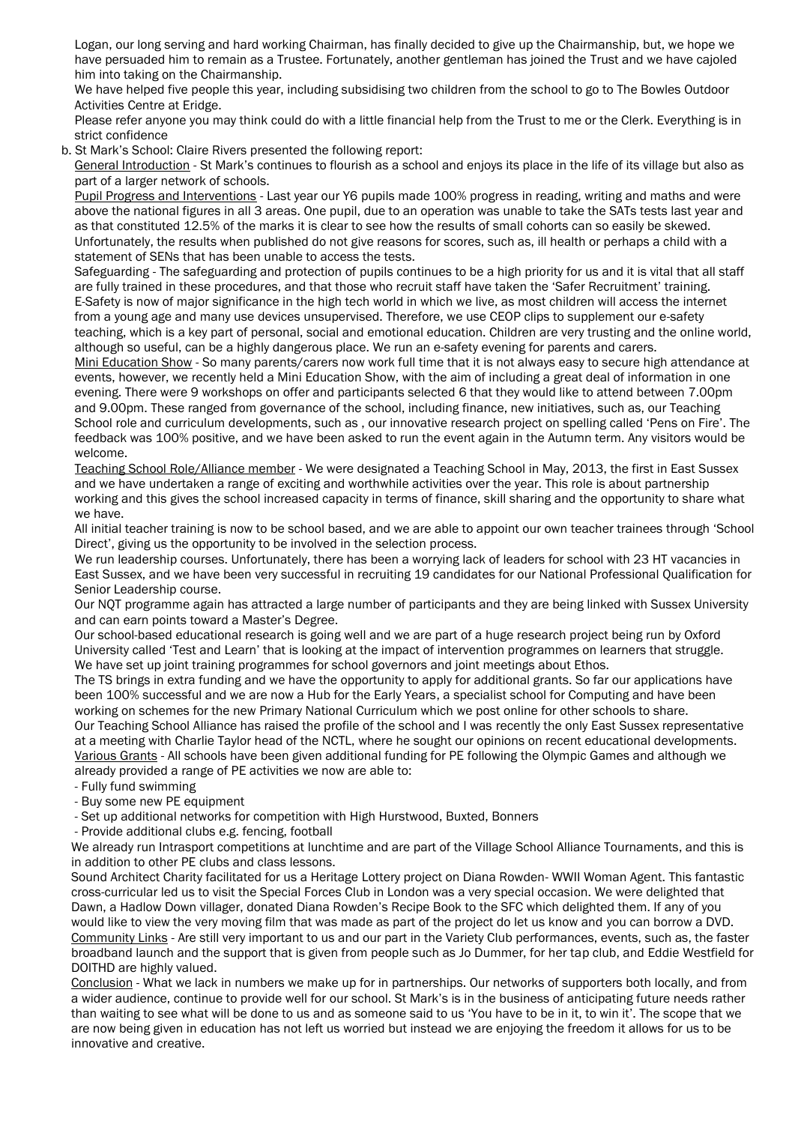Logan, our long serving and hard working Chairman, has finally decided to give up the Chairmanship, but, we hope we have persuaded him to remain as a Trustee. Fortunately, another gentleman has joined the Trust and we have cajoled him into taking on the Chairmanship.

 We have helped five people this year, including subsidising two children from the school to go to The Bowles Outdoor Activities Centre at Eridge.

 Please refer anyone you may think could do with a little financial help from the Trust to me or the Clerk. Everything is in strict confidence

b. St Mark's School: Claire Rivers presented the following report:

 General Introduction - St Mark's continues to flourish as a school and enjoys its place in the life of its village but also as part of a larger network of schools.

 Pupil Progress and Interventions - Last year our Y6 pupils made 100% progress in reading, writing and maths and were above the national figures in all 3 areas. One pupil, due to an operation was unable to take the SATs tests last year and as that constituted 12.5% of the marks it is clear to see how the results of small cohorts can so easily be skewed. Unfortunately, the results when published do not give reasons for scores, such as, ill health or perhaps a child with a statement of SENs that has been unable to access the tests.

 Safeguarding - The safeguarding and protection of pupils continues to be a high priority for us and it is vital that all staff are fully trained in these procedures, and that those who recruit staff have taken the 'Safer Recruitment' training. E-Safety is now of major significance in the high tech world in which we live, as most children will access the internet from a young age and many use devices unsupervised. Therefore, we use CEOP clips to supplement our e-safety teaching, which is a key part of personal, social and emotional education. Children are very trusting and the online world, although so useful, can be a highly dangerous place. We run an e-safety evening for parents and carers.

 Mini Education Show - So many parents/carers now work full time that it is not always easy to secure high attendance at events, however, we recently held a Mini Education Show, with the aim of including a great deal of information in one evening. There were 9 workshops on offer and participants selected 6 that they would like to attend between 7.00pm and 9.00pm. These ranged from governance of the school, including finance, new initiatives, such as, our Teaching School role and curriculum developments, such as , our innovative research project on spelling called 'Pens on Fire'. The feedback was 100% positive, and we have been asked to run the event again in the Autumn term. Any visitors would be welcome.

 Teaching School Role/Alliance member - We were designated a Teaching School in May, 2013, the first in East Sussex and we have undertaken a range of exciting and worthwhile activities over the year. This role is about partnership working and this gives the school increased capacity in terms of finance, skill sharing and the opportunity to share what we have.

 All initial teacher training is now to be school based, and we are able to appoint our own teacher trainees through 'School Direct', giving us the opportunity to be involved in the selection process.

 We run leadership courses. Unfortunately, there has been a worrying lack of leaders for school with 23 HT vacancies in East Sussex, and we have been very successful in recruiting 19 candidates for our National Professional Qualification for Senior Leadership course.

 Our NQT programme again has attracted a large number of participants and they are being linked with Sussex University and can earn points toward a Master's Degree.

 Our school-based educational research is going well and we are part of a huge research project being run by Oxford University called 'Test and Learn' that is looking at the impact of intervention programmes on learners that struggle. We have set up joint training programmes for school governors and joint meetings about Ethos.

 The TS brings in extra funding and we have the opportunity to apply for additional grants. So far our applications have been 100% successful and we are now a Hub for the Early Years, a specialist school for Computing and have been working on schemes for the new Primary National Curriculum which we post online for other schools to share.

 Our Teaching School Alliance has raised the profile of the school and I was recently the only East Sussex representative at a meeting with Charlie Taylor head of the NCTL, where he sought our opinions on recent educational developments. Various Grants - All schools have been given additional funding for PE following the Olympic Games and although we already provided a range of PE activities we now are able to:

- Fully fund swimming

- Buy some new PE equipment

- Set up additional networks for competition with High Hurstwood, Buxted, Bonners

- Provide additional clubs e.g. fencing, football

 We already run Intrasport competitions at lunchtime and are part of the Village School Alliance Tournaments, and this is in addition to other PE clubs and class lessons.

 Sound Architect Charity facilitated for us a Heritage Lottery project on Diana Rowden- WWII Woman Agent. This fantastic cross-curricular led us to visit the Special Forces Club in London was a very special occasion. We were delighted that Dawn, a Hadlow Down villager, donated Diana Rowden's Recipe Book to the SFC which delighted them. If any of you would like to view the very moving film that was made as part of the project do let us know and you can borrow a DVD. Community Links - Are still very important to us and our part in the Variety Club performances, events, such as, the faster broadband launch and the support that is given from people such as Jo Dummer, for her tap club, and Eddie Westfield for DOITHD are highly valued.

 Conclusion - What we lack in numbers we make up for in partnerships. Our networks of supporters both locally, and from a wider audience, continue to provide well for our school. St Mark's is in the business of anticipating future needs rather than waiting to see what will be done to us and as someone said to us 'You have to be in it, to win it'. The scope that we are now being given in education has not left us worried but instead we are enjoying the freedom it allows for us to be innovative and creative.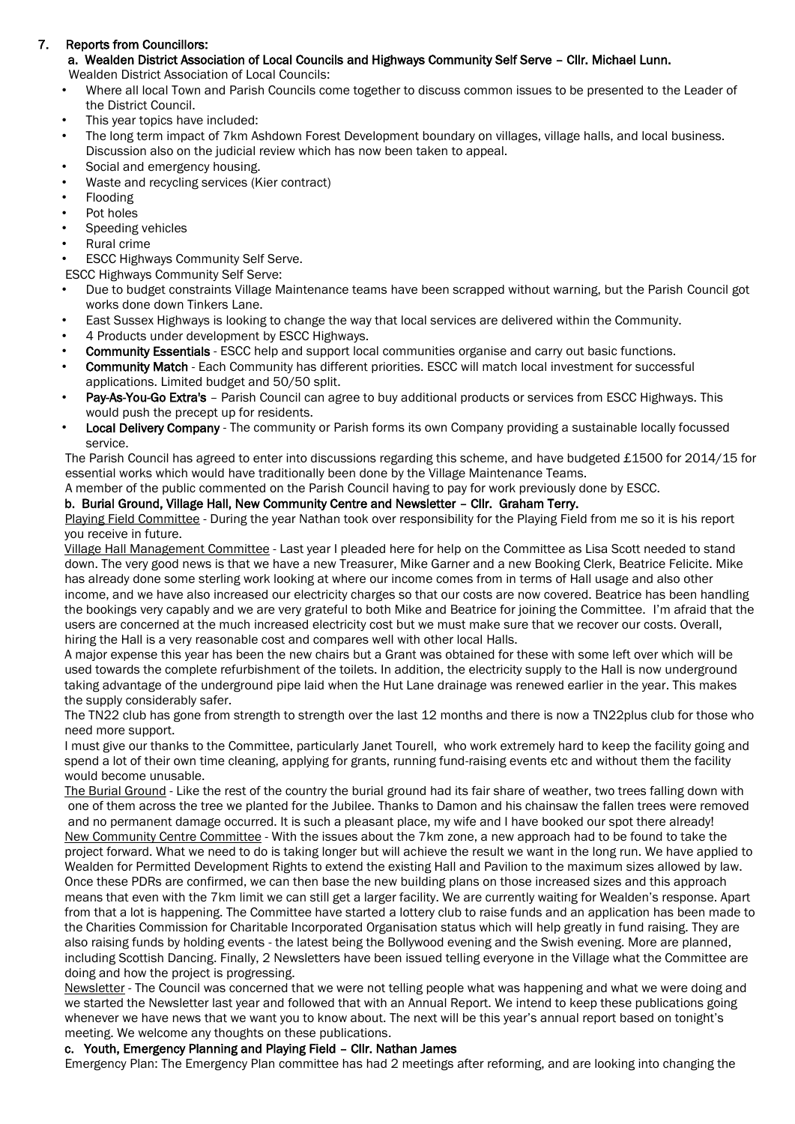# 7. Reports from Councillors:

# a. Wealden District Association of Local Councils and Highways Community Self Serve – Cllr. Michael Lunn.

Wealden District Association of Local Councils:

- Where all local Town and Parish Councils come together to discuss common issues to be presented to the Leader of the District Council.
- This year topics have included:
- The long term impact of 7km Ashdown Forest Development boundary on villages, village halls, and local business. Discussion also on the judicial review which has now been taken to appeal.
- Social and emergency housing.
- Waste and recycling services (Kier contract)
- Flooding
- Pot holes
- Speeding vehicles
- Rural crime

**ESCC Highways Community Self Serve.** 

ESCC Highways Community Self Serve:

- Due to budget constraints Village Maintenance teams have been scrapped without warning, but the Parish Council got works done down Tinkers Lane.
- East Sussex Highways is looking to change the way that local services are delivered within the Community.
- 4 Products under development by ESCC Highways.
- Community Essentials ESCC help and support local communities organise and carry out basic functions.
- Community Match Each Community has different priorities. ESCC will match local investment for successful applications. Limited budget and 50/50 split.
- Pay-As-You-Go Extra's Parish Council can agree to buy additional products or services from ESCC Highways. This would push the precept up for residents.
- Local Delivery Company The community or Parish forms its own Company providing a sustainable locally focussed service.

The Parish Council has agreed to enter into discussions regarding this scheme, and have budgeted £1500 for 2014/15 for essential works which would have traditionally been done by the Village Maintenance Teams.

A member of the public commented on the Parish Council having to pay for work previously done by ESCC.

# b. Burial Ground, Village Hall, New Community Centre and Newsletter – Cllr. Graham Terry.

Playing Field Committee - During the year Nathan took over responsibility for the Playing Field from me so it is his report you receive in future.

 Village Hall Management Committee - Last year I pleaded here for help on the Committee as Lisa Scott needed to stand down. The very good news is that we have a new Treasurer, Mike Garner and a new Booking Clerk, Beatrice Felicite. Mike has already done some sterling work looking at where our income comes from in terms of Hall usage and also other income, and we have also increased our electricity charges so that our costs are now covered. Beatrice has been handling the bookings very capably and we are very grateful to both Mike and Beatrice for joining the Committee. I'm afraid that the users are concerned at the much increased electricity cost but we must make sure that we recover our costs. Overall, hiring the Hall is a very reasonable cost and compares well with other local Halls.

 A major expense this year has been the new chairs but a Grant was obtained for these with some left over which will be used towards the complete refurbishment of the toilets. In addition, the electricity supply to the Hall is now underground taking advantage of the underground pipe laid when the Hut Lane drainage was renewed earlier in the year. This makes the supply considerably safer.

 The TN22 club has gone from strength to strength over the last 12 months and there is now a TN22plus club for those who need more support.

 I must give our thanks to the Committee, particularly Janet Tourell, who work extremely hard to keep the facility going and spend a lot of their own time cleaning, applying for grants, running fund-raising events etc and without them the facility would become unusable.

 The Burial Ground - Like the rest of the country the burial ground had its fair share of weather, two trees falling down with one of them across the tree we planted for the Jubilee. Thanks to Damon and his chainsaw the fallen trees were removed and no permanent damage occurred. It is such a pleasant place, my wife and I have booked our spot there already! New Community Centre Committee - With the issues about the 7km zone, a new approach had to be found to take the project forward. What we need to do is taking longer but will achieve the result we want in the long run. We have applied to Wealden for Permitted Development Rights to extend the existing Hall and Pavilion to the maximum sizes allowed by law. Once these PDRs are confirmed, we can then base the new building plans on those increased sizes and this approach means that even with the 7km limit we can still get a larger facility. We are currently waiting for Wealden's response. Apart from that a lot is happening. The Committee have started a lottery club to raise funds and an application has been made to the Charities Commission for Charitable Incorporated Organisation status which will help greatly in fund raising. They are also raising funds by holding events - the latest being the Bollywood evening and the Swish evening. More are planned, including Scottish Dancing. Finally, 2 Newsletters have been issued telling everyone in the Village what the Committee are doing and how the project is progressing.

 Newsletter - The Council was concerned that we were not telling people what was happening and what we were doing and we started the Newsletter last year and followed that with an Annual Report. We intend to keep these publications going whenever we have news that we want you to know about. The next will be this year's annual report based on tonight's meeting. We welcome any thoughts on these publications.

# c. Youth, Emergency Planning and Playing Field – Cllr. Nathan James

Emergency Plan: The Emergency Plan committee has had 2 meetings after reforming, and are looking into changing the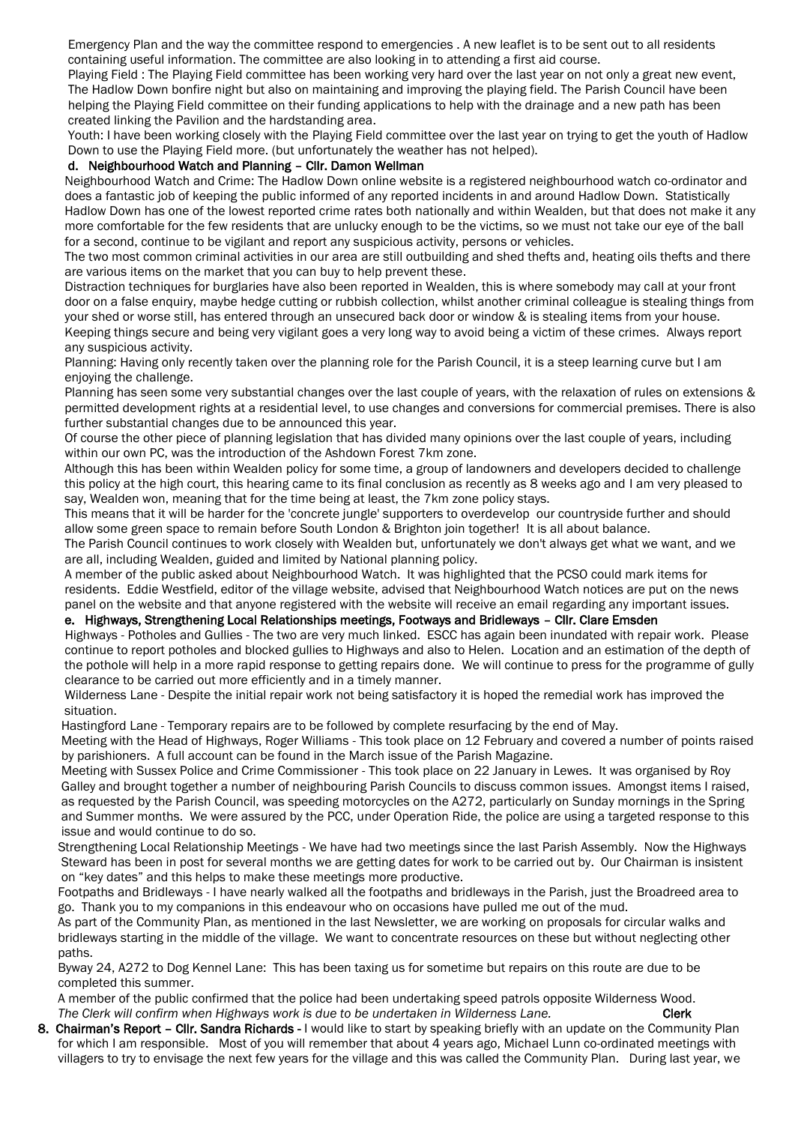Emergency Plan and the way the committee respond to emergencies . A new leaflet is to be sent out to all residents containing useful information. The committee are also looking in to attending a first aid course.

 Playing Field : The Playing Field committee has been working very hard over the last year on not only a great new event, The Hadlow Down bonfire night but also on maintaining and improving the playing field. The Parish Council have been helping the Playing Field committee on their funding applications to help with the drainage and a new path has been created linking the Pavilion and the hardstanding area.

 Youth: I have been working closely with the Playing Field committee over the last year on trying to get the youth of Hadlow Down to use the Playing Field more. (but unfortunately the weather has not helped).

#### d. Neighbourhood Watch and Planning – Cllr. Damon Wellman

 Neighbourhood Watch and Crime: The Hadlow Down online website is a registered neighbourhood watch co-ordinator and does a fantastic job of keeping the public informed of any reported incidents in and around Hadlow Down. Statistically Hadlow Down has one of the lowest reported crime rates both nationally and within Wealden, but that does not make it any more comfortable for the few residents that are unlucky enough to be the victims, so we must not take our eye of the ball for a second, continue to be vigilant and report any suspicious activity, persons or vehicles.

 The two most common criminal activities in our area are still outbuilding and shed thefts and, heating oils thefts and there are various items on the market that you can buy to help prevent these.

 Distraction techniques for burglaries have also been reported in Wealden, this is where somebody may call at your front door on a false enquiry, maybe hedge cutting or rubbish collection, whilst another criminal colleague is stealing things from your shed or worse still, has entered through an unsecured back door or window & is stealing items from your house. Keeping things secure and being very vigilant goes a very long way to avoid being a victim of these crimes. Always report any suspicious activity.

 Planning: Having only recently taken over the planning role for the Parish Council, it is a steep learning curve but I am enjoying the challenge.

 Planning has seen some very substantial changes over the last couple of years, with the relaxation of rules on extensions & permitted development rights at a residential level, to use changes and conversions for commercial premises. There is also further substantial changes due to be announced this year.

 Of course the other piece of planning legislation that has divided many opinions over the last couple of years, including within our own PC, was the introduction of the Ashdown Forest 7km zone.

 Although this has been within Wealden policy for some time, a group of landowners and developers decided to challenge this policy at the high court, this hearing came to its final conclusion as recently as 8 weeks ago and I am very pleased to say, Wealden won, meaning that for the time being at least, the 7km zone policy stays.

 This means that it will be harder for the 'concrete jungle' supporters to overdevelop our countryside further and should allow some green space to remain before South London & Brighton join together! It is all about balance.

 The Parish Council continues to work closely with Wealden but, unfortunately we don't always get what we want, and we are all, including Wealden, guided and limited by National planning policy.

 A member of the public asked about Neighbourhood Watch. It was highlighted that the PCSO could mark items for residents. Eddie Westfield, editor of the village website, advised that Neighbourhood Watch notices are put on the news panel on the website and that anyone registered with the website will receive an email regarding any important issues.

### e. Highways, Strengthening Local Relationships meetings, Footways and Bridleways – Cllr. Clare Emsden

 Highways - Potholes and Gullies - The two are very much linked. ESCC has again been inundated with repair work. Please continue to report potholes and blocked gullies to Highways and also to Helen. Location and an estimation of the depth of the pothole will help in a more rapid response to getting repairs done. We will continue to press for the programme of gully clearance to be carried out more efficiently and in a timely manner.

Wilderness Lane - Despite the initial repair work not being satisfactory it is hoped the remedial work has improved the situation.

Hastingford Lane - Temporary repairs are to be followed by complete resurfacing by the end of May.

 Meeting with the Head of Highways, Roger Williams - This took place on 12 February and covered a number of points raised by parishioners. A full account can be found in the March issue of the Parish Magazine.

 Meeting with Sussex Police and Crime Commissioner - This took place on 22 January in Lewes. It was organised by Roy Galley and brought together a number of neighbouring Parish Councils to discuss common issues. Amongst items I raised, as requested by the Parish Council, was speeding motorcycles on the A272, particularly on Sunday mornings in the Spring and Summer months. We were assured by the PCC, under Operation Ride, the police are using a targeted response to this issue and would continue to do so.

 Strengthening Local Relationship Meetings - We have had two meetings since the last Parish Assembly. Now the Highways Steward has been in post for several months we are getting dates for work to be carried out by. Our Chairman is insistent on "key dates" and this helps to make these meetings more productive.

 Footpaths and Bridleways - I have nearly walked all the footpaths and bridleways in the Parish, just the Broadreed area to go. Thank you to my companions in this endeavour who on occasions have pulled me out of the mud.

 As part of the Community Plan, as mentioned in the last Newsletter, we are working on proposals for circular walks and bridleways starting in the middle of the village. We want to concentrate resources on these but without neglecting other paths.

 Byway 24, A272 to Dog Kennel Lane: This has been taxing us for sometime but repairs on this route are due to be completed this summer.

 A member of the public confirmed that the police had been undertaking speed patrols opposite Wilderness Wood. The Clerk will confirm when Highways work is due to be undertaken in Wilderness Lane. Clerk

8. Chairman's Report - Cllr. Sandra Richards - I would like to start by speaking briefly with an update on the Community Plan for which I am responsible. Most of you will remember that about 4 years ago, Michael Lunn co-ordinated meetings with villagers to try to envisage the next few years for the village and this was called the Community Plan. During last year, we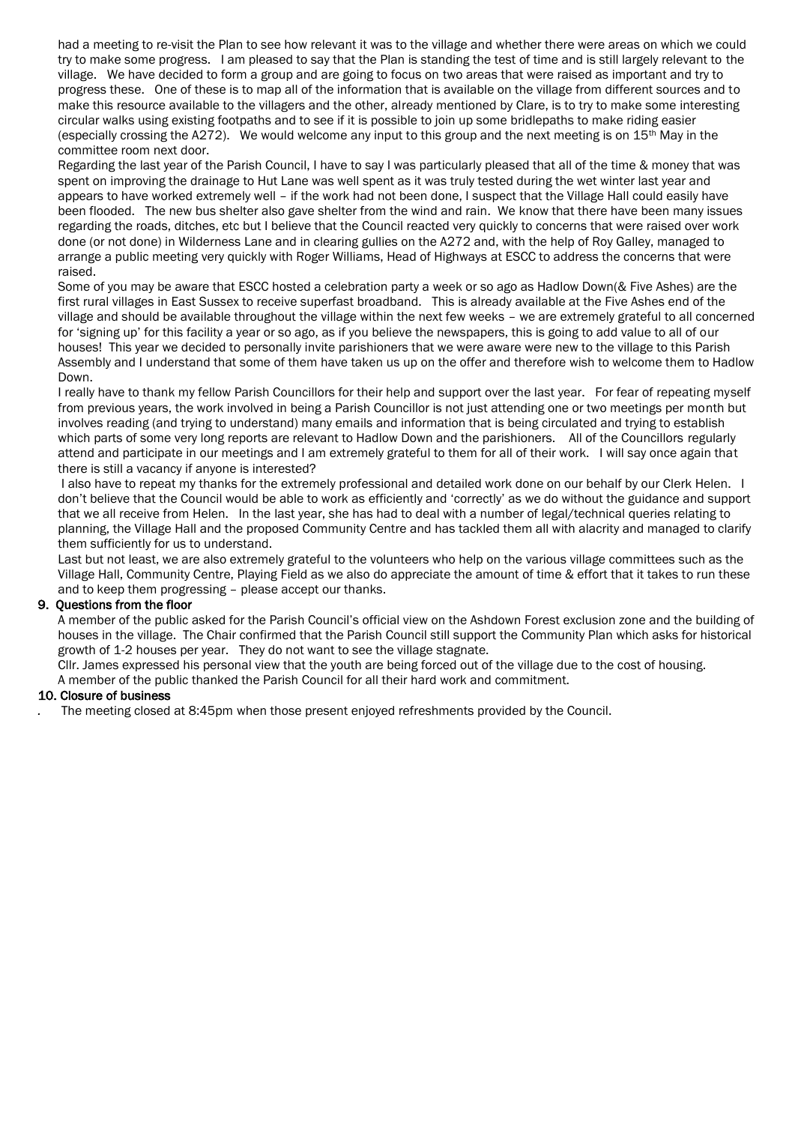had a meeting to re-visit the Plan to see how relevant it was to the village and whether there were areas on which we could try to make some progress. I am pleased to say that the Plan is standing the test of time and is still largely relevant to the village. We have decided to form a group and are going to focus on two areas that were raised as important and try to progress these. One of these is to map all of the information that is available on the village from different sources and to make this resource available to the villagers and the other, already mentioned by Clare, is to try to make some interesting circular walks using existing footpaths and to see if it is possible to join up some bridlepaths to make riding easier (especially crossing the A272). We would welcome any input to this group and the next meeting is on 15th May in the committee room next door.

 Regarding the last year of the Parish Council, I have to say I was particularly pleased that all of the time & money that was spent on improving the drainage to Hut Lane was well spent as it was truly tested during the wet winter last year and appears to have worked extremely well – if the work had not been done, I suspect that the Village Hall could easily have been flooded. The new bus shelter also gave shelter from the wind and rain. We know that there have been many issues regarding the roads, ditches, etc but I believe that the Council reacted very quickly to concerns that were raised over work done (or not done) in Wilderness Lane and in clearing gullies on the A272 and, with the help of Roy Galley, managed to arrange a public meeting very quickly with Roger Williams, Head of Highways at ESCC to address the concerns that were raised.

 Some of you may be aware that ESCC hosted a celebration party a week or so ago as Hadlow Down(& Five Ashes) are the first rural villages in East Sussex to receive superfast broadband. This is already available at the Five Ashes end of the village and should be available throughout the village within the next few weeks – we are extremely grateful to all concerned for 'signing up' for this facility a year or so ago, as if you believe the newspapers, this is going to add value to all of our houses! This year we decided to personally invite parishioners that we were aware were new to the village to this Parish Assembly and I understand that some of them have taken us up on the offer and therefore wish to welcome them to Hadlow Down.

 I really have to thank my fellow Parish Councillors for their help and support over the last year. For fear of repeating myself from previous years, the work involved in being a Parish Councillor is not just attending one or two meetings per month but involves reading (and trying to understand) many emails and information that is being circulated and trying to establish which parts of some very long reports are relevant to Hadlow Down and the parishioners. All of the Councillors regularly attend and participate in our meetings and I am extremely grateful to them for all of their work. I will say once again that there is still a vacancy if anyone is interested?

 I also have to repeat my thanks for the extremely professional and detailed work done on our behalf by our Clerk Helen. I don't believe that the Council would be able to work as efficiently and 'correctly' as we do without the guidance and support that we all receive from Helen. In the last year, she has had to deal with a number of legal/technical queries relating to planning, the Village Hall and the proposed Community Centre and has tackled them all with alacrity and managed to clarify them sufficiently for us to understand.

 Last but not least, we are also extremely grateful to the volunteers who help on the various village committees such as the Village Hall, Community Centre, Playing Field as we also do appreciate the amount of time & effort that it takes to run these and to keep them progressing – please accept our thanks.

# 9. Questions from the floor

 A member of the public asked for the Parish Council's official view on the Ashdown Forest exclusion zone and the building of houses in the village. The Chair confirmed that the Parish Council still support the Community Plan which asks for historical growth of 1-2 houses per year. They do not want to see the village stagnate.

 Cllr. James expressed his personal view that the youth are being forced out of the village due to the cost of housing. A member of the public thanked the Parish Council for all their hard work and commitment.

### 10. Closure of business

*.* The meeting closed at 8:45pm when those present enjoyed refreshments provided by the Council.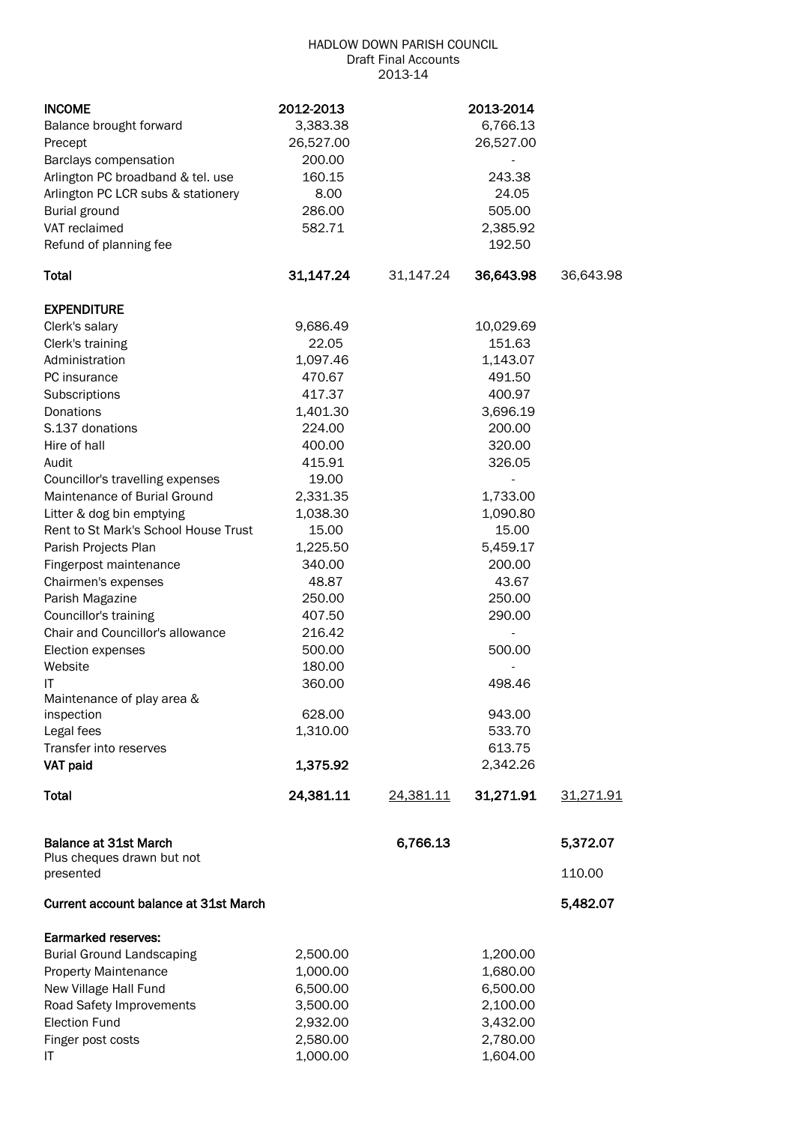### HADLOW DOWN PARISH COUNCIL Draft Final Accounts 2013-14

| <b>INCOME</b>                           | 2012-2013 |           | 2013-2014                |           |
|-----------------------------------------|-----------|-----------|--------------------------|-----------|
| Balance brought forward                 | 3,383.38  |           | 6,766.13                 |           |
| Precept                                 | 26,527.00 |           | 26,527.00                |           |
| Barclays compensation                   | 200.00    |           |                          |           |
| Arlington PC broadband & tel. use       | 160.15    |           | 243.38                   |           |
| Arlington PC LCR subs & stationery      | 8.00      |           | 24.05                    |           |
| <b>Burial ground</b>                    | 286.00    |           | 505.00                   |           |
| VAT reclaimed                           | 582.71    |           | 2,385.92                 |           |
| Refund of planning fee                  |           |           | 192.50                   |           |
| <b>Total</b>                            | 31,147.24 | 31,147.24 | 36,643.98                | 36,643.98 |
| <b>EXPENDITURE</b>                      |           |           |                          |           |
| Clerk's salary                          | 9,686.49  |           | 10,029.69                |           |
| Clerk's training                        | 22.05     |           | 151.63                   |           |
| Administration                          | 1,097.46  |           | 1,143.07                 |           |
| PC insurance                            | 470.67    |           | 491.50                   |           |
| Subscriptions                           | 417.37    |           | 400.97                   |           |
| <b>Donations</b>                        | 1,401.30  |           | 3,696.19                 |           |
| S.137 donations                         | 224.00    |           | 200.00                   |           |
| Hire of hall                            | 400.00    |           | 320.00                   |           |
| Audit                                   | 415.91    |           | 326.05                   |           |
| Councillor's travelling expenses        | 19.00     |           | $\overline{\phantom{0}}$ |           |
| Maintenance of Burial Ground            | 2,331.35  |           | 1,733.00                 |           |
| Litter & dog bin emptying               | 1,038.30  |           | 1,090.80                 |           |
| Rent to St Mark's School House Trust    | 15.00     |           | 15.00                    |           |
| Parish Projects Plan                    | 1,225.50  |           | 5,459.17                 |           |
| Fingerpost maintenance                  | 340.00    |           | 200.00                   |           |
| Chairmen's expenses                     | 48.87     |           | 43.67                    |           |
| Parish Magazine                         | 250.00    |           | 250.00                   |           |
| Councillor's training                   | 407.50    |           | 290.00                   |           |
| Chair and Councillor's allowance        | 216.42    |           |                          |           |
| Election expenses                       | 500.00    |           | 500.00                   |           |
| Website                                 | 180.00    |           |                          |           |
| IT                                      | 360.00    |           | 498.46                   |           |
| Maintenance of play area &              |           |           |                          |           |
| inspection                              | 628.00    |           | 943.00                   |           |
| Legal fees                              | 1,310.00  |           | 533.70                   |           |
| Transfer into reserves                  |           |           | 613.75                   |           |
| VAT paid                                | 1,375.92  |           | 2,342.26                 |           |
| <b>Total</b>                            | 24,381.11 | 24,381.11 | 31,271.91                | 31,271.91 |
| <b>Balance at 31st March</b>            |           | 6,766.13  |                          | 5,372.07  |
| Plus cheques drawn but not<br>presented |           |           |                          | 110.00    |
| Current account balance at 31st March   |           |           |                          | 5,482.07  |
| Earmarked reserves:                     |           |           |                          |           |
| <b>Burial Ground Landscaping</b>        | 2,500.00  |           | 1,200.00                 |           |
| <b>Property Maintenance</b>             | 1,000.00  |           | 1,680.00                 |           |
| New Village Hall Fund                   | 6,500.00  |           | 6,500.00                 |           |
| Road Safety Improvements                | 3,500.00  |           | 2,100.00                 |           |
| <b>Election Fund</b>                    | 2,932.00  |           | 3,432.00                 |           |
| Finger post costs                       | 2,580.00  |           | 2,780.00                 |           |
| ΙT                                      | 1,000.00  |           | 1,604.00                 |           |